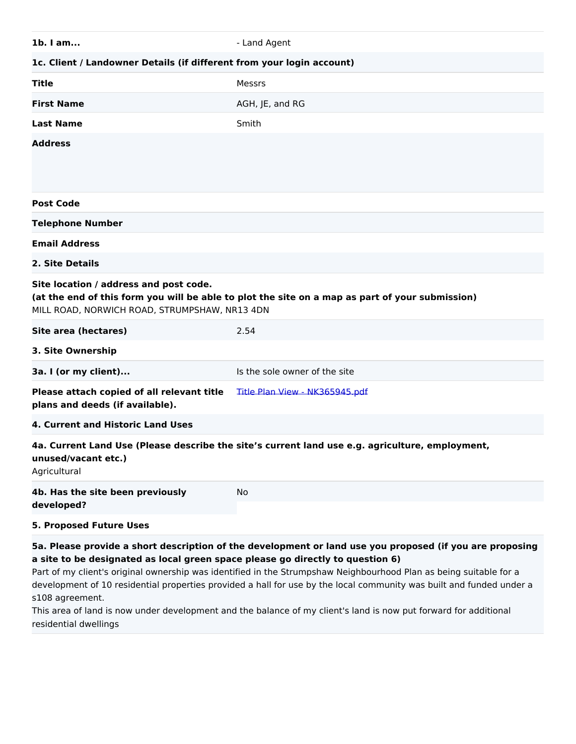| 1b. I am                                                                                                                                                                                                                                                                                                                                                                                                                                 | - Land Agent                                                                                    |  |
|------------------------------------------------------------------------------------------------------------------------------------------------------------------------------------------------------------------------------------------------------------------------------------------------------------------------------------------------------------------------------------------------------------------------------------------|-------------------------------------------------------------------------------------------------|--|
| 1c. Client / Landowner Details (if different from your login account)                                                                                                                                                                                                                                                                                                                                                                    |                                                                                                 |  |
| Title                                                                                                                                                                                                                                                                                                                                                                                                                                    | Messrs                                                                                          |  |
| <b>First Name</b>                                                                                                                                                                                                                                                                                                                                                                                                                        | AGH, JE, and RG                                                                                 |  |
| <b>Last Name</b>                                                                                                                                                                                                                                                                                                                                                                                                                         | Smith                                                                                           |  |
| <b>Address</b>                                                                                                                                                                                                                                                                                                                                                                                                                           |                                                                                                 |  |
| <b>Post Code</b>                                                                                                                                                                                                                                                                                                                                                                                                                         |                                                                                                 |  |
| <b>Telephone Number</b>                                                                                                                                                                                                                                                                                                                                                                                                                  |                                                                                                 |  |
| <b>Email Address</b>                                                                                                                                                                                                                                                                                                                                                                                                                     |                                                                                                 |  |
| 2. Site Details                                                                                                                                                                                                                                                                                                                                                                                                                          |                                                                                                 |  |
| Site location / address and post code.<br>(at the end of this form you will be able to plot the site on a map as part of your submission)<br>MILL ROAD, NORWICH ROAD, STRUMPSHAW, NR13 4DN                                                                                                                                                                                                                                               |                                                                                                 |  |
| Site area (hectares)                                                                                                                                                                                                                                                                                                                                                                                                                     | 2.54                                                                                            |  |
| 3. Site Ownership                                                                                                                                                                                                                                                                                                                                                                                                                        |                                                                                                 |  |
| 3a. I (or my client)                                                                                                                                                                                                                                                                                                                                                                                                                     | Is the sole owner of the site                                                                   |  |
| Please attach copied of all relevant title<br>plans and deeds (if available).                                                                                                                                                                                                                                                                                                                                                            | Title Plan View - NK365945.pdf                                                                  |  |
| 4. Current and Historic Land Uses                                                                                                                                                                                                                                                                                                                                                                                                        |                                                                                                 |  |
| unused/vacant etc.)<br>Agricultural                                                                                                                                                                                                                                                                                                                                                                                                      | 4a. Current Land Use (Please describe the site's current land use e.g. agriculture, employment, |  |
| 4b. Has the site been previously<br>developed?                                                                                                                                                                                                                                                                                                                                                                                           | No                                                                                              |  |
| <b>5. Proposed Future Uses</b>                                                                                                                                                                                                                                                                                                                                                                                                           |                                                                                                 |  |
| 5a. Please provide a short description of the development or land use you proposed (if you are proposing<br>a site to be designated as local green space please go directly to question 6)<br>Part of my client's original ownership was identified in the Strumpshaw Neighbourhood Plan as being suitable for a<br>development of 10 residential properties provided a hall for use by the local community was built and funded under a |                                                                                                 |  |

s108 agreement. This area of land is now under development and the balance of my client's land is now put forward for additional residential dwellings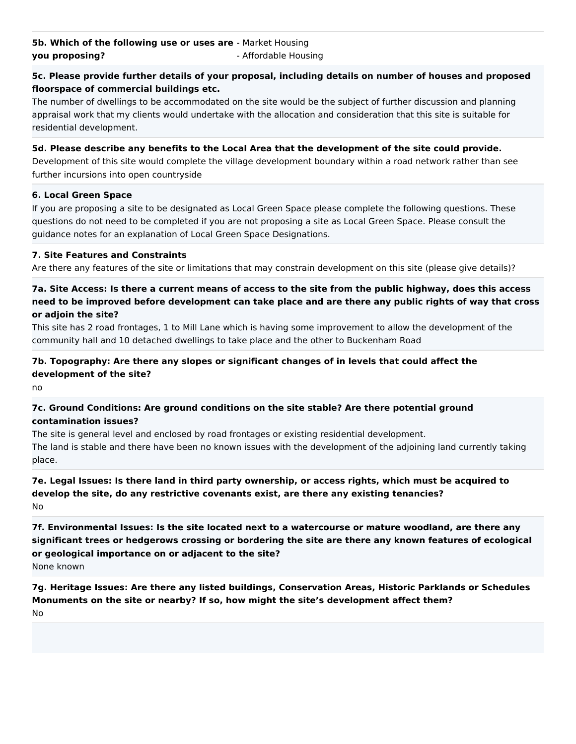## **5c. Please provide further details of your proposal, including details on number of houses and proposed floorspace of commercial buildings etc.**

The number of dwellings to be accommodated on the site would be the subject of further discussion and planning appraisal work that my clients would undertake with the allocation and consideration that this site is suitable for residential development.

#### **5d. Please describe any benefits to the Local Area that the development of the site could provide.**

Development of this site would complete the village development boundary within a road network rather than see further incursions into open countryside

## **6. Local Green Space**

If you are proposing a site to be designated as Local Green Space please complete the following questions. These questions do not need to be completed if you are not proposing a site as Local Green Space. Please consult the guidance notes for an explanation of Local Green Space Designations.

## **7. Site Features and Constraints**

Are there any features of the site or limitations that may constrain development on this site (please give details)?

# **7a. Site Access: Is there a current means of access to the site from the public highway, does this access need to be improved before development can take place and are there any public rights of way that cross or adjoin the site?**

This site has 2 road frontages, 1 to Mill Lane which is having some improvement to allow the development of the community hall and 10 detached dwellings to take place and the other to Buckenham Road

# **7b. Topography: Are there any slopes or significant changes of in levels that could affect the development of the site?**

no

# **7c. Ground Conditions: Are ground conditions on the site stable? Are there potential ground contamination issues?**

The site is general level and enclosed by road frontages or existing residential development. The land is stable and there have been no known issues with the development of the adjoining land currently taking place.

# **7e. Legal Issues: Is there land in third party ownership, or access rights, which must be acquired to develop the site, do any restrictive covenants exist, are there any existing tenancies?** No

**7f. Environmental Issues: Is the site located next to a watercourse or mature woodland, are there any significant trees or hedgerows crossing or bordering the site are there any known features of ecological or geological importance on or adjacent to the site?**

None known

**7g. Heritage Issues: Are there any listed buildings, Conservation Areas, Historic Parklands or Schedules Monuments on the site or nearby? If so, how might the site's development affect them?** No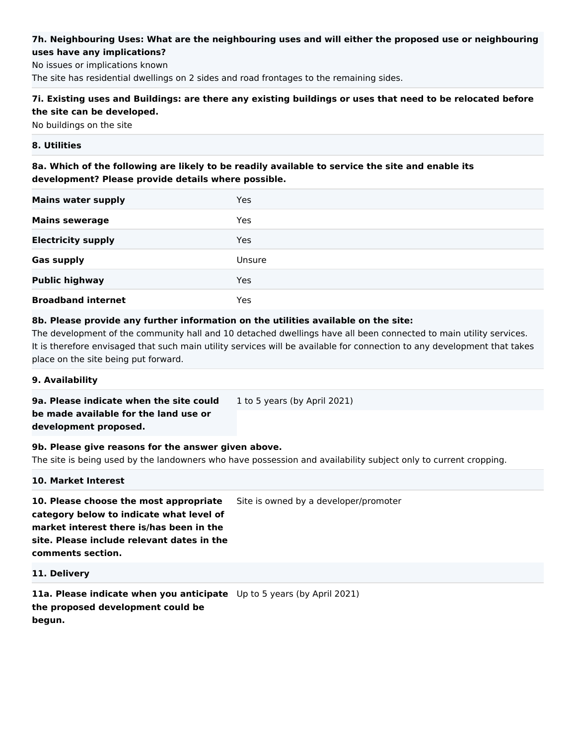# **7h. Neighbouring Uses: What are the neighbouring uses and will either the proposed use or neighbouring uses have any implications?**

No issues or implications known The site has residential dwellings on 2 sides and road frontages to the remaining sides.

# **7i. Existing uses and Buildings: are there any existing buildings or uses that need to be relocated before the site can be developed.**

No buildings on the site

## **8. Utilities**

**8a. Which of the following are likely to be readily available to service the site and enable its development? Please provide details where possible.**

| <b>Mains water supply</b> | Yes    |  |
|---------------------------|--------|--|
| <b>Mains sewerage</b>     | Yes    |  |
| <b>Electricity supply</b> | Yes    |  |
| <b>Gas supply</b>         | Unsure |  |
| <b>Public highway</b>     | Yes    |  |
| <b>Broadband internet</b> | Yes    |  |

## **8b. Please provide any further information on the utilities available on the site:**

The development of the community hall and 10 detached dwellings have all been connected to main utility services. It is therefore envisaged that such main utility services will be available for connection to any development that takes place on the site being put forward.

#### **9. Availability**

**9a. Please indicate when the site could**  1 to 5 years (by April 2021)

# **be made available for the land use or development proposed.**

## **9b. Please give reasons for the answer given above.**

The site is being used by the landowners who have possession and availability subject only to current cropping.

#### **10. Market Interest**

**10. Please choose the most appropriate category below to indicate what level of market interest there is/has been in the site. Please include relevant dates in the comments section.** Site is owned by a developer/promoter

## **11. Delivery**

**11a. Please indicate when you anticipate**  Up to 5 years (by April 2021)**the proposed development could be begun.**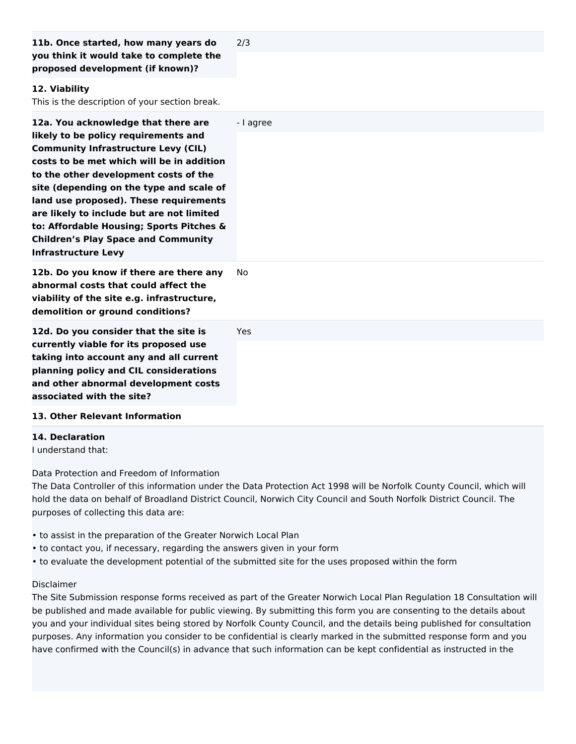| 11b. Once started, how many years do<br>you think it would take to complete the<br>proposed development (if known)?                                                                                                                                                                                                                                                                                                                                                        | 2/3        |
|----------------------------------------------------------------------------------------------------------------------------------------------------------------------------------------------------------------------------------------------------------------------------------------------------------------------------------------------------------------------------------------------------------------------------------------------------------------------------|------------|
| 12. Viability<br>This is the description of your section break.                                                                                                                                                                                                                                                                                                                                                                                                            |            |
| 12a. You acknowledge that there are<br>likely to be policy requirements and<br><b>Community Infrastructure Levy (CIL)</b><br>costs to be met which will be in addition<br>to the other development costs of the<br>site (depending on the type and scale of<br>land use proposed). These requirements<br>are likely to include but are not limited<br>to: Affordable Housing; Sports Pitches &<br><b>Children's Play Space and Community</b><br><b>Infrastructure Levy</b> | - I agree  |
| 12b. Do you know if there are there any<br>abnormal costs that could affect the<br>viability of the site e.g. infrastructure,<br>demolition or ground conditions?                                                                                                                                                                                                                                                                                                          | <b>No</b>  |
| 12d. Do you consider that the site is<br>currently viable for its proposed use<br>taking into account any and all current<br>planning policy and CIL considerations<br>and other abnormal development costs<br>associated with the site?                                                                                                                                                                                                                                   | <b>Yes</b> |
| 13. Other Relevant Information                                                                                                                                                                                                                                                                                                                                                                                                                                             |            |

#### **14. Declaration**

I understand that:

Data Protection and Freedom of Information

The Data Controller of this information under the Data Protection Act 1998 will be Norfolk County Council, which will hold the data on behalf of Broadland District Council, Norwich City Council and South Norfolk District Council. The purposes of collecting this data are:

- to assist in the preparation of the Greater Norwich Local Plan
- to contact you, if necessary, regarding the answers given in your form
- to evaluate the development potential of the submitted site for the uses proposed within the form

#### Disclaimer

The Site Submission response forms received as part of the Greater Norwich Local Plan Regulation 18 Consultation will be published and made available for public viewing. By submitting this form you are consenting to the details about you and your individual sites being stored by Norfolk County Council, and the details being published for consultation purposes. Any information you consider to be confidential is clearly marked in the submitted response form and you have confirmed with the Council(s) in advance that such information can be kept confidential as instructed in the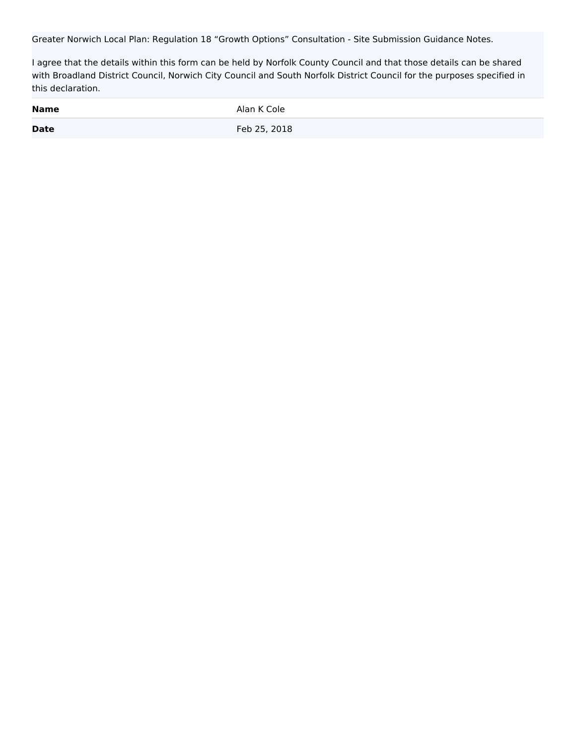Greater Norwich Local Plan: Regulation 18 "Growth Options" Consultation - Site Submission Guidance Notes.

I agree that the details within this form can be held by Norfolk County Council and that those details can be shared with Broadland District Council, Norwich City Council and South Norfolk District Council for the purposes specified in this declaration.

| <b>Name</b> | Alan K Cole  |
|-------------|--------------|
| <b>Date</b> | Feb 25, 2018 |